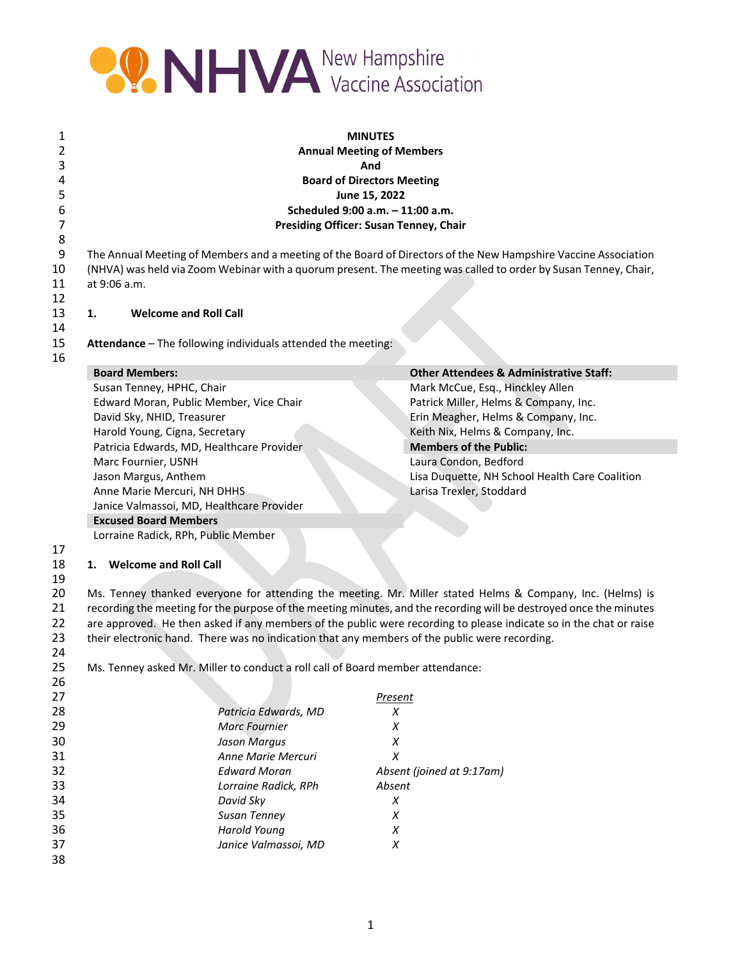

| 1        | <b>MINUTES</b>                                                                                |                                                              |                                                                                                                    |  |  |
|----------|-----------------------------------------------------------------------------------------------|--------------------------------------------------------------|--------------------------------------------------------------------------------------------------------------------|--|--|
| 2        | <b>Annual Meeting of Members</b>                                                              |                                                              |                                                                                                                    |  |  |
| 3        | And                                                                                           |                                                              |                                                                                                                    |  |  |
| 4        |                                                                                               |                                                              | <b>Board of Directors Meeting</b>                                                                                  |  |  |
| 5        |                                                                                               |                                                              | June 15, 2022                                                                                                      |  |  |
| 6        |                                                                                               |                                                              | Scheduled 9:00 a.m. - 11:00 a.m.                                                                                   |  |  |
| 7        |                                                                                               |                                                              | <b>Presiding Officer: Susan Tenney, Chair</b>                                                                      |  |  |
| 8        |                                                                                               |                                                              |                                                                                                                    |  |  |
| 9        |                                                                                               |                                                              | The Annual Meeting of Members and a meeting of the Board of Directors of the New Hampshire Vaccine Association     |  |  |
| 10       |                                                                                               |                                                              | (NHVA) was held via Zoom Webinar with a quorum present. The meeting was called to order by Susan Tenney, Chair,    |  |  |
| 11       | at 9:06 a.m.                                                                                  |                                                              |                                                                                                                    |  |  |
| 12       |                                                                                               |                                                              |                                                                                                                    |  |  |
| 13       | <b>Welcome and Roll Call</b><br>1.                                                            |                                                              |                                                                                                                    |  |  |
| 14       |                                                                                               |                                                              |                                                                                                                    |  |  |
| 15       |                                                                                               | Attendance - The following individuals attended the meeting: |                                                                                                                    |  |  |
| 16       |                                                                                               |                                                              |                                                                                                                    |  |  |
|          | <b>Board Members:</b>                                                                         |                                                              | <b>Other Attendees &amp; Administrative Staff:</b>                                                                 |  |  |
|          | Susan Tenney, HPHC, Chair                                                                     |                                                              | Mark McCue, Esq., Hinckley Allen                                                                                   |  |  |
|          | Edward Moran, Public Member, Vice Chair                                                       |                                                              | Patrick Miller, Helms & Company, Inc.                                                                              |  |  |
|          | David Sky, NHID, Treasurer                                                                    |                                                              | Erin Meagher, Helms & Company, Inc.                                                                                |  |  |
|          | Harold Young, Cigna, Secretary                                                                |                                                              | Keith Nix, Helms & Company, Inc.                                                                                   |  |  |
|          | Patricia Edwards, MD, Healthcare Provider                                                     |                                                              | <b>Members of the Public:</b>                                                                                      |  |  |
|          | Marc Fournier, USNH                                                                           |                                                              | Laura Condon, Bedford                                                                                              |  |  |
|          | Jason Margus, Anthem                                                                          |                                                              | Lisa Duquette, NH School Health Care Coalition                                                                     |  |  |
|          | Anne Marie Mercuri, NH DHHS                                                                   |                                                              | Larisa Trexler, Stoddard                                                                                           |  |  |
|          | Janice Valmassoi, MD, Healthcare Provider                                                     |                                                              |                                                                                                                    |  |  |
|          | <b>Excused Board Members</b>                                                                  |                                                              |                                                                                                                    |  |  |
|          | Lorraine Radick, RPh, Public Member                                                           |                                                              |                                                                                                                    |  |  |
| 17       |                                                                                               |                                                              |                                                                                                                    |  |  |
| 18       | 1. Welcome and Roll Call                                                                      |                                                              |                                                                                                                    |  |  |
| 19<br>20 |                                                                                               |                                                              | Ms. Tenney thanked everyone for attending the meeting. Mr. Miller stated Helms & Company, Inc. (Helms) is          |  |  |
| 21       |                                                                                               |                                                              | recording the meeting for the purpose of the meeting minutes, and the recording will be destroyed once the minutes |  |  |
| 22       |                                                                                               |                                                              | are approved. He then asked if any members of the public were recording to please indicate so in the chat or raise |  |  |
| 23       |                                                                                               |                                                              |                                                                                                                    |  |  |
| 24       | their electronic hand. There was no indication that any members of the public were recording. |                                                              |                                                                                                                    |  |  |
| 25       | Ms. Tenney asked Mr. Miller to conduct a roll call of Board member attendance:                |                                                              |                                                                                                                    |  |  |
| 26       |                                                                                               |                                                              |                                                                                                                    |  |  |
| 27       |                                                                                               |                                                              | <b>Present</b>                                                                                                     |  |  |
| 28       |                                                                                               | Patricia Edwards, MD                                         | X                                                                                                                  |  |  |
| 29       |                                                                                               | <b>Marc Fournier</b>                                         | X                                                                                                                  |  |  |
| 30       |                                                                                               | <b>Jason Margus</b>                                          | X                                                                                                                  |  |  |
| 31       |                                                                                               | Anne Marie Mercuri                                           | X                                                                                                                  |  |  |
| 32       |                                                                                               | <b>Edward Moran</b>                                          | Absent (joined at 9:17am)                                                                                          |  |  |
| 33       |                                                                                               | Lorraine Radick, RPh                                         | Absent                                                                                                             |  |  |
| 34       |                                                                                               | David Sky                                                    | X                                                                                                                  |  |  |
| 35       |                                                                                               | Susan Tenney                                                 | $\chi$                                                                                                             |  |  |
| 36       |                                                                                               | <b>Harold Young</b>                                          | X                                                                                                                  |  |  |
| 37       |                                                                                               | Janice Valmassoi, MD                                         | X                                                                                                                  |  |  |
| 38       |                                                                                               |                                                              |                                                                                                                    |  |  |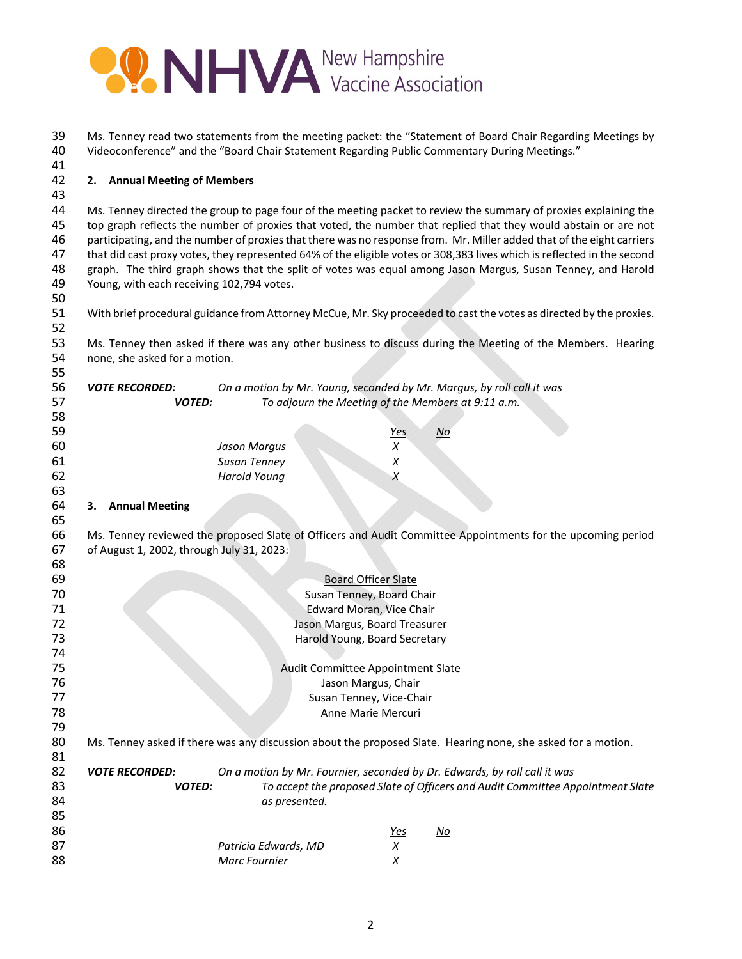

| 39<br>40<br>41                         | Ms. Tenney read two statements from the meeting packet: the "Statement of Board Chair Regarding Meetings by<br>Videoconference" and the "Board Chair Statement Regarding Public Commentary During Meetings."                                                                                                                                                                                                                                                                                                                                                                                                                                        |                                                                           |                      |                                                                                                                     |
|----------------------------------------|-----------------------------------------------------------------------------------------------------------------------------------------------------------------------------------------------------------------------------------------------------------------------------------------------------------------------------------------------------------------------------------------------------------------------------------------------------------------------------------------------------------------------------------------------------------------------------------------------------------------------------------------------------|---------------------------------------------------------------------------|----------------------|---------------------------------------------------------------------------------------------------------------------|
| 42<br>43                               |                                                                                                                                                                                                                                                                                                                                                                                                                                                                                                                                                                                                                                                     |                                                                           |                      |                                                                                                                     |
| 44<br>45<br>46<br>47<br>48<br>49<br>50 | Ms. Tenney directed the group to page four of the meeting packet to review the summary of proxies explaining the<br>top graph reflects the number of proxies that voted, the number that replied that they would abstain or are not<br>participating, and the number of proxies that there was no response from. Mr. Miller added that of the eight carriers<br>that did cast proxy votes, they represented 64% of the eligible votes or 308,383 lives which is reflected in the second<br>graph. The third graph shows that the split of votes was equal among Jason Margus, Susan Tenney, and Harold<br>Young, with each receiving 102,794 votes. |                                                                           |                      |                                                                                                                     |
| 51<br>52                               |                                                                                                                                                                                                                                                                                                                                                                                                                                                                                                                                                                                                                                                     |                                                                           |                      | With brief procedural guidance from Attorney McCue, Mr. Sky proceeded to cast the votes as directed by the proxies. |
| 53<br>54<br>55                         | Ms. Tenney then asked if there was any other business to discuss during the Meeting of the Members. Hearing<br>none, she asked for a motion.                                                                                                                                                                                                                                                                                                                                                                                                                                                                                                        |                                                                           |                      |                                                                                                                     |
| 56<br>57<br>58                         | On a motion by Mr. Young, seconded by Mr. Margus, by roll call it was<br><b>VOTE RECORDED:</b><br>To adjourn the Meeting of the Members at 9:11 a.m.<br><b>VOTED:</b>                                                                                                                                                                                                                                                                                                                                                                                                                                                                               |                                                                           |                      |                                                                                                                     |
| 59<br>60                               |                                                                                                                                                                                                                                                                                                                                                                                                                                                                                                                                                                                                                                                     | <b>Jason Margus</b>                                                       | <u>Yes</u><br>$\chi$ | No                                                                                                                  |
| 61<br>62<br>63                         |                                                                                                                                                                                                                                                                                                                                                                                                                                                                                                                                                                                                                                                     | Susan Tenney<br><b>Harold Young</b>                                       | $\chi$<br>X          |                                                                                                                     |
| 64<br>65                               | 3. Annual Meeting                                                                                                                                                                                                                                                                                                                                                                                                                                                                                                                                                                                                                                   |                                                                           |                      |                                                                                                                     |
| 66<br>67<br>68                         | Ms. Tenney reviewed the proposed Slate of Officers and Audit Committee Appointments for the upcoming period<br>of August 1, 2002, through July 31, 2023:                                                                                                                                                                                                                                                                                                                                                                                                                                                                                            |                                                                           |                      |                                                                                                                     |
| 69                                     |                                                                                                                                                                                                                                                                                                                                                                                                                                                                                                                                                                                                                                                     | <b>Board Officer Slate</b>                                                |                      |                                                                                                                     |
| 70                                     |                                                                                                                                                                                                                                                                                                                                                                                                                                                                                                                                                                                                                                                     | Susan Tenney, Board Chair                                                 |                      |                                                                                                                     |
| 71                                     |                                                                                                                                                                                                                                                                                                                                                                                                                                                                                                                                                                                                                                                     | Edward Moran, Vice Chair                                                  |                      |                                                                                                                     |
| 72                                     |                                                                                                                                                                                                                                                                                                                                                                                                                                                                                                                                                                                                                                                     | Jason Margus, Board Treasurer                                             |                      |                                                                                                                     |
| 73                                     |                                                                                                                                                                                                                                                                                                                                                                                                                                                                                                                                                                                                                                                     | Harold Young, Board Secretary                                             |                      |                                                                                                                     |
| 74                                     |                                                                                                                                                                                                                                                                                                                                                                                                                                                                                                                                                                                                                                                     |                                                                           |                      |                                                                                                                     |
| 75                                     |                                                                                                                                                                                                                                                                                                                                                                                                                                                                                                                                                                                                                                                     |                                                                           |                      |                                                                                                                     |
| 76                                     | <b>Audit Committee Appointment Slate</b>                                                                                                                                                                                                                                                                                                                                                                                                                                                                                                                                                                                                            |                                                                           |                      |                                                                                                                     |
| 77                                     | Jason Margus, Chair                                                                                                                                                                                                                                                                                                                                                                                                                                                                                                                                                                                                                                 |                                                                           |                      |                                                                                                                     |
| 78                                     | Susan Tenney, Vice-Chair<br>Anne Marie Mercuri                                                                                                                                                                                                                                                                                                                                                                                                                                                                                                                                                                                                      |                                                                           |                      |                                                                                                                     |
| 79                                     |                                                                                                                                                                                                                                                                                                                                                                                                                                                                                                                                                                                                                                                     |                                                                           |                      |                                                                                                                     |
| 80<br>81                               | Ms. Tenney asked if there was any discussion about the proposed Slate. Hearing none, she asked for a motion.                                                                                                                                                                                                                                                                                                                                                                                                                                                                                                                                        |                                                                           |                      |                                                                                                                     |
| 82                                     | <b>VOTE RECORDED:</b>                                                                                                                                                                                                                                                                                                                                                                                                                                                                                                                                                                                                                               | On a motion by Mr. Fournier, seconded by Dr. Edwards, by roll call it was |                      |                                                                                                                     |
| 83                                     | <b>VOTED:</b>                                                                                                                                                                                                                                                                                                                                                                                                                                                                                                                                                                                                                                       |                                                                           |                      | To accept the proposed Slate of Officers and Audit Committee Appointment Slate                                      |
| 84                                     |                                                                                                                                                                                                                                                                                                                                                                                                                                                                                                                                                                                                                                                     | as presented.                                                             |                      |                                                                                                                     |
| 85                                     |                                                                                                                                                                                                                                                                                                                                                                                                                                                                                                                                                                                                                                                     |                                                                           |                      |                                                                                                                     |
| 86                                     |                                                                                                                                                                                                                                                                                                                                                                                                                                                                                                                                                                                                                                                     |                                                                           | <u>Yes</u>           | <u>No</u>                                                                                                           |
| 87                                     |                                                                                                                                                                                                                                                                                                                                                                                                                                                                                                                                                                                                                                                     | Patricia Edwards, MD                                                      | X                    |                                                                                                                     |
| 88                                     |                                                                                                                                                                                                                                                                                                                                                                                                                                                                                                                                                                                                                                                     | Marc Fournier                                                             | X                    |                                                                                                                     |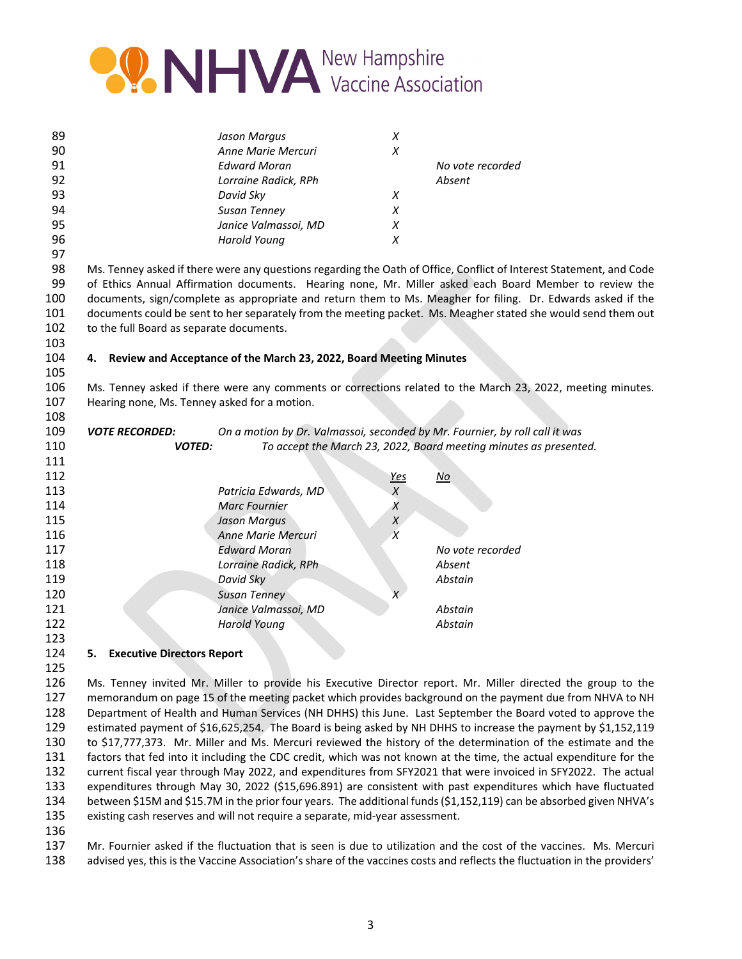

| 89 | Jason Margus         | Х |                  |
|----|----------------------|---|------------------|
| 90 | Anne Marie Mercuri   | Х |                  |
| 91 | <b>Edward Moran</b>  |   | No vote recorded |
| 92 | Lorraine Radick, RPh |   | Absent           |
| 93 | David Sky            | X |                  |
| 94 | <b>Susan Tenney</b>  | X |                  |
| 95 | Janice Valmassoi, MD | х |                  |
| 96 | Harold Young         |   |                  |
| 97 |                      |   |                  |

 Ms. Tenney asked if there were any questions regarding the Oath of Office, Conflict of Interest Statement, and Code of Ethics Annual Affirmation documents. Hearing none, Mr. Miller asked each Board Member to review the documents, sign/complete as appropriate and return them to Ms. Meagher for filing. Dr. Edwards asked if the documents could be sent to her separately from the meeting packet. Ms. Meagher stated she would send them out 102 to the full Board as separate documents.

## **4. Review and Acceptance of the March 23, 2022, Board Meeting Minutes**

 Ms. Tenney asked if there were any comments or corrections related to the March 23, 2022, meeting minutes. Hearing none, Ms. Tenney asked for a motion.

| 109 | <b>VOTE RECORDED:</b> | On a motion by Dr. Valmassoi, seconded by Mr. Fournier, by roll call it was |            |                                                                   |
|-----|-----------------------|-----------------------------------------------------------------------------|------------|-------------------------------------------------------------------|
| 110 | <b>VOTED:</b>         |                                                                             |            | To accept the March 23, 2022, Board meeting minutes as presented. |
| 111 |                       |                                                                             |            |                                                                   |
| 112 |                       |                                                                             | <u>Yes</u> | <u>No</u>                                                         |
| 113 |                       | Patricia Edwards, MD                                                        | X          |                                                                   |
| 114 |                       | Marc Fournier                                                               |            |                                                                   |
| 115 |                       | <b>Jason Margus</b>                                                         |            |                                                                   |
| 116 |                       | Anne Marie Mercuri                                                          |            |                                                                   |
| 117 |                       | <b>Edward Moran</b>                                                         |            | No vote recorded                                                  |
| 118 |                       | Lorraine Radick, RPh                                                        |            | Absent                                                            |
| 119 |                       | David Sky                                                                   |            | Abstain                                                           |
| 120 |                       | <b>Susan Tenney</b>                                                         | X          |                                                                   |
| 121 |                       | Janice Valmassoi, MD                                                        |            | Abstain                                                           |
| 122 |                       | <b>Harold Young</b>                                                         |            | Abstain                                                           |
| 123 |                       |                                                                             |            |                                                                   |

## **5. Executive Directors Report**

 Ms. Tenney invited Mr. Miller to provide his Executive Director report. Mr. Miller directed the group to the memorandum on page 15 of the meeting packet which provides background on the payment due from NHVA to NH Department of Health and Human Services (NH DHHS) this June. Last September the Board voted to approve the estimated payment of \$16,625,254. The Board is being asked by NH DHHS to increase the payment by \$1,152,119 to \$17,777,373. Mr. Miller and Ms. Mercuri reviewed the history of the determination of the estimate and the factors that fed into it including the CDC credit, which was not known at the time, the actual expenditure for the current fiscal year through May 2022, and expenditures from SFY2021 that were invoiced in SFY2022. The actual expenditures through May 30, 2022 (\$15,696.891) are consistent with past expenditures which have fluctuated between \$15M and \$15.7M in the prior four years. The additional funds(\$1,152,119) can be absorbed given NHVA's existing cash reserves and will not require a separate, mid‐year assessment.

 Mr. Fournier asked if the fluctuation that is seen is due to utilization and the cost of the vaccines. Ms. Mercuri advised yes, this is the Vaccine Association's share of the vaccines costs and reflects the fluctuation in the providers'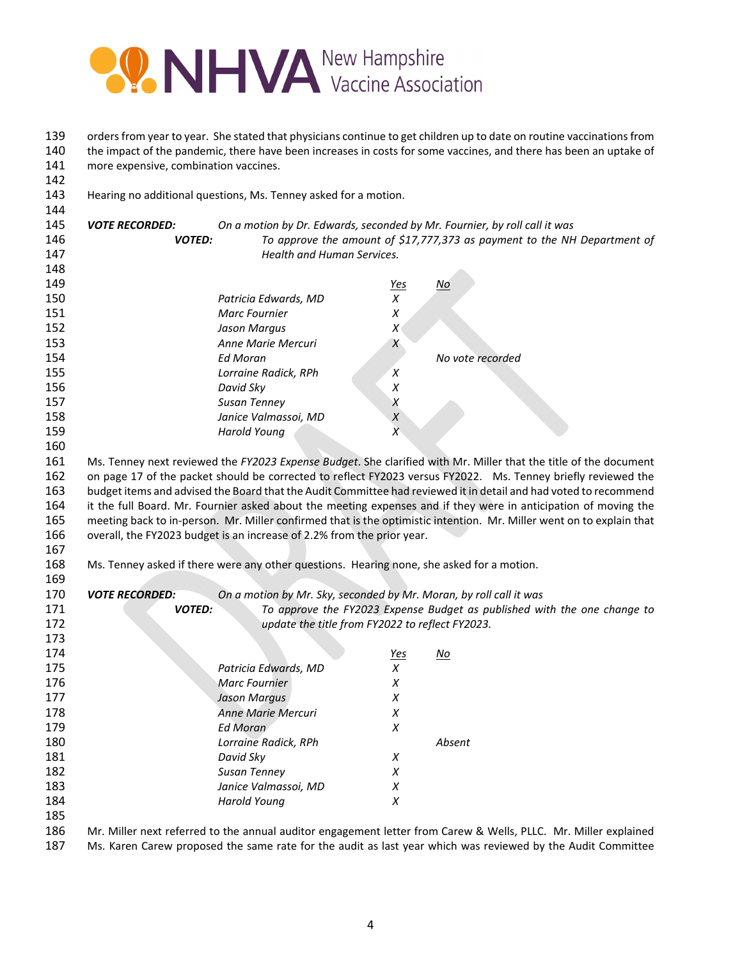

139 orders from year to year. She stated that physicians continue to get children up to date on routine vaccinations from 140 the impact of the pandemic, there have been increases in costs for some vaccines, and there has been an uptake of more expensive, combination vaccines.

Hearing no additional questions, Ms. Tenney asked for a motion.

| To approve the amount of \$17,777,373 as payment to the NH Department of                                             |
|----------------------------------------------------------------------------------------------------------------------|
|                                                                                                                      |
|                                                                                                                      |
|                                                                                                                      |
|                                                                                                                      |
|                                                                                                                      |
|                                                                                                                      |
|                                                                                                                      |
|                                                                                                                      |
|                                                                                                                      |
|                                                                                                                      |
|                                                                                                                      |
|                                                                                                                      |
|                                                                                                                      |
|                                                                                                                      |
| Ms. Tenney next reviewed the FY2023 Expense Budget. She clarified with Mr. Miller that the title of the document     |
| on page 17 of the packet should be corrected to reflect FY2023 versus FY2022. Ms. Tenney briefly reviewed the        |
| budget items and advised the Board that the Audit Committee had reviewed it in detail and had voted to recommend     |
| it the full Board. Mr. Fournier asked about the meeting expenses and if they were in anticipation of moving the      |
| meeting back to in-person. Mr. Miller confirmed that is the optimistic intention. Mr. Miller went on to explain that |
|                                                                                                                      |
|                                                                                                                      |
|                                                                                                                      |
|                                                                                                                      |
|                                                                                                                      |
| To approve the FY2023 Expense Budget as published with the one change to                                             |
|                                                                                                                      |
|                                                                                                                      |
|                                                                                                                      |
|                                                                                                                      |
|                                                                                                                      |
|                                                                                                                      |
|                                                                                                                      |
|                                                                                                                      |
|                                                                                                                      |
|                                                                                                                      |
|                                                                                                                      |
|                                                                                                                      |
|                                                                                                                      |
|                                                                                                                      |
|                                                                                                                      |
| Mr. Miller next referred to the annual auditor engagement letter from Carew & Wells, PLLC. Mr. Miller explained      |
|                                                                                                                      |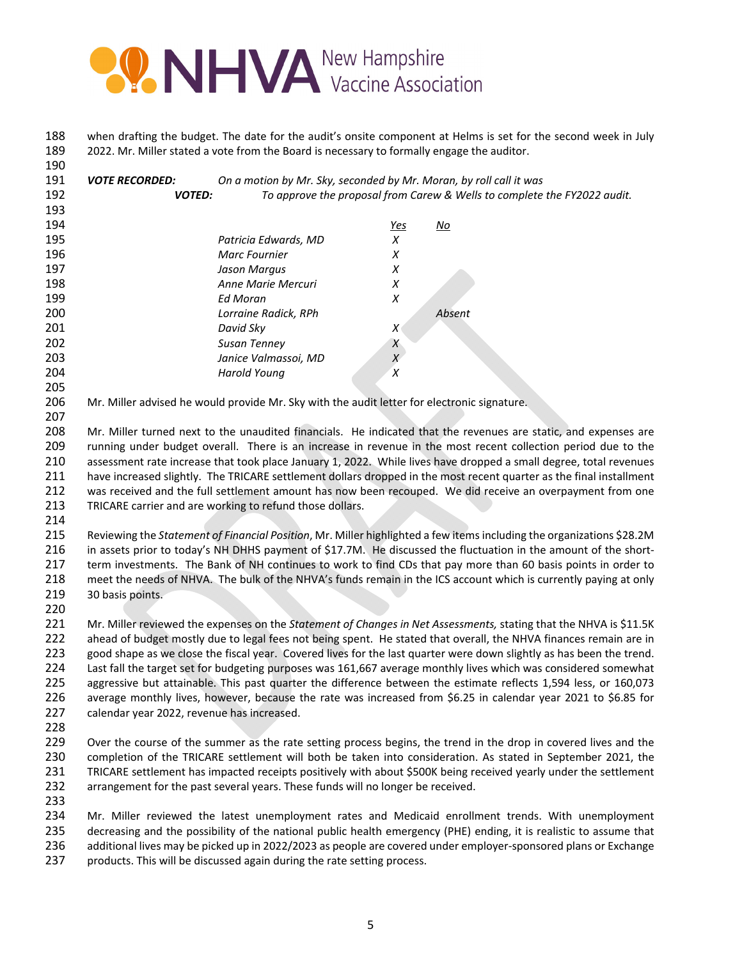

 when drafting the budget. The date for the audit's onsite component at Helms is set for the second week in July 2022. Mr. Miller stated a vote from the Board is necessary to formally engage the auditor.

 *VOTE RECORDED: On a motion by Mr. Sky, seconded by Mr. Moran, by roll call it was VOTED: To approve the proposal from Carew & Wells to complete the FY2022 audit. Yes No Patricia Edwards, MD X Marc Fournier X Jason Margus X Anne Marie Mercuri X Ed Moran X Lorraine Radick, RPh Absent David Sky X Susan Tenney X Janice Valmassoi, MD X Harold Young X* 

Mr. Miller advised he would provide Mr. Sky with the audit letter for electronic signature.

 Mr. Miller turned next to the unaudited financials. He indicated that the revenues are static, and expenses are 209 running under budget overall. There is an increase in revenue in the most recent collection period due to the assessment rate increase that took place January 1, 2022. While lives have dropped a small degree, total revenues have increased slightly. The TRICARE settlement dollars dropped in the most recent quarter as the final installment was received and the full settlement amount has now been recouped. We did receive an overpayment from one TRICARE carrier and are working to refund those dollars.

 Reviewing the *Statement of Financial Position*, Mr. Miller highlighted a few itemsincluding the organizations \$28.2M 216 in assets prior to today's NH DHHS payment of \$17.7M. He discussed the fluctuation in the amount of the short- term investments. The Bank of NH continues to work to find CDs that pay more than 60 basis points in order to meet the needs of NHVA. The bulk of the NHVA's funds remain in the ICS account which is currently paying at only 30 basis points.

 Mr. Miller reviewed the expenses on the *Statement of Changes in Net Assessments,* stating that the NHVA is \$11.5K ahead of budget mostly due to legal fees not being spent. He stated that overall, the NHVA finances remain are in good shape as we close the fiscal year. Covered lives for the last quarter were down slightly as has been the trend. Last fall the target set for budgeting purposes was 161,667 average monthly lives which was considered somewhat aggressive but attainable. This past quarter the difference between the estimate reflects 1,594 less, or 160,073 average monthly lives, however, because the rate was increased from \$6.25 in calendar year 2021 to \$6.85 for calendar year 2022, revenue has increased.

229 Over the course of the summer as the rate setting process begins, the trend in the drop in covered lives and the completion of the TRICARE settlement will both be taken into consideration. As stated in September 2021, the TRICARE settlement has impacted receipts positively with about \$500K being received yearly under the settlement arrangement for the past several years. These funds will no longer be received.

 Mr. Miller reviewed the latest unemployment rates and Medicaid enrollment trends. With unemployment decreasing and the possibility of the national public health emergency (PHE) ending, it is realistic to assume that additional lives may be picked up in 2022/2023 as people are covered under employer‐sponsored plans or Exchange products. This will be discussed again during the rate setting process.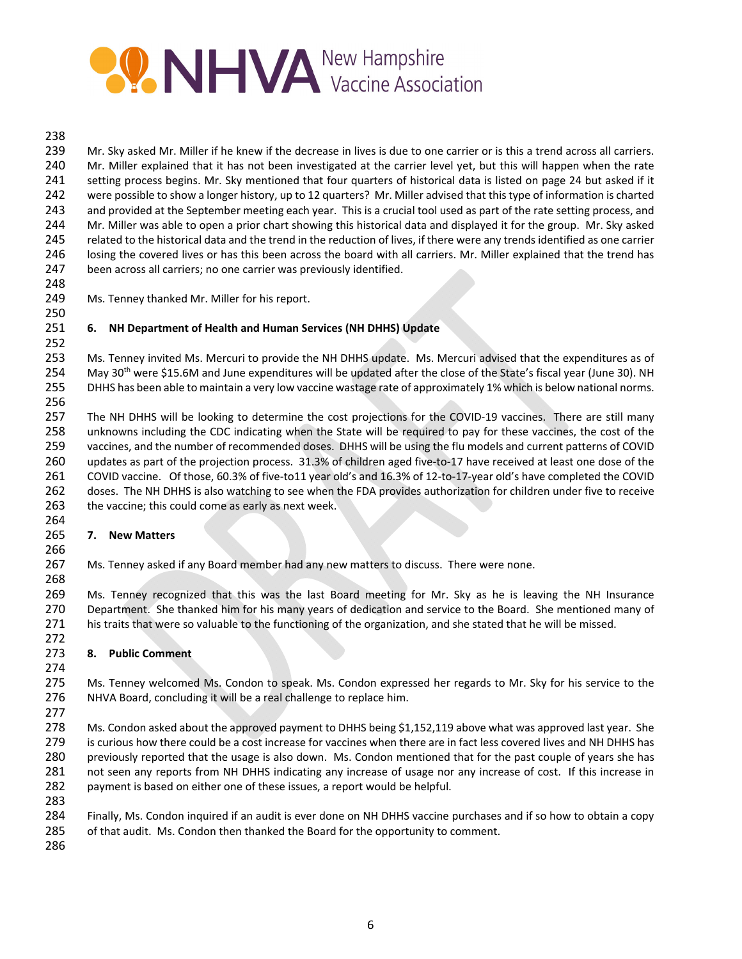

#### 

 Mr. Sky asked Mr. Miller if he knew if the decrease in lives is due to one carrier or is this a trend across all carriers. 240 Mr. Miller explained that it has not been investigated at the carrier level yet, but this will happen when the rate setting process begins. Mr. Sky mentioned that four quarters of historical data is listed on page 24 but asked if it were possible to show a longer history, up to 12 quarters? Mr. Miller advised that this type of information is charted 243 and provided at the September meeting each year. This is a crucial tool used as part of the rate setting process, and Mr. Miller was able to open a prior chart showing this historical data and displayed it for the group. Mr. Sky asked related to the historical data and the trend in the reduction of lives, if there were any trends identified as one carrier losing the covered lives or has this been across the board with all carriers. Mr. Miller explained that the trend has been across all carriers; no one carrier was previously identified.

Ms. Tenney thanked Mr. Miller for his report.

# **6. NH Department of Health and Human Services (NH DHHS) Update**

 

 Ms. Tenney invited Ms. Mercuri to provide the NH DHHS update. Ms. Mercuri advised that the expenditures as of 254 May 30<sup>th</sup> were \$15.6M and June expenditures will be updated after the close of the State's fiscal year (June 30). NH DHHS has been able to maintain a very low vaccine wastage rate of approximately 1% which is below national norms. 

257 The NH DHHS will be looking to determine the cost projections for the COVID-19 vaccines. There are still many unknowns including the CDC indicating when the State will be required to pay for these vaccines, the cost of the vaccines, and the number of recommended doses. DHHS will be using the flu models and current patterns of COVID 260 updates as part of the projection process. 31.3% of children aged five-to-17 have received at least one dose of the 261 COVID vaccine. Of those, 60.3% of five-to11 year old's and 16.3% of 12-to-17-year old's have completed the COVID doses. The NH DHHS is also watching to see when the FDA provides authorization for children under five to receive 263 the vaccine; this could come as early as next week.

## **7. New Matters**

Ms. Tenney asked if any Board member had any new matters to discuss. There were none.

 Ms. Tenney recognized that this was the last Board meeting for Mr. Sky as he is leaving the NH Insurance Department. She thanked him for his many years of dedication and service to the Board. She mentioned many of his traits that were so valuable to the functioning of the organization, and she stated that he will be missed.

## **8. Public Comment**

275 Ms. Tenney welcomed Ms. Condon to speak. Ms. Condon expressed her regards to Mr. Sky for his service to the NHVA Board, concluding it will be a real challenge to replace him.

278 Ms. Condon asked about the approved payment to DHHS being \$1,152,119 above what was approved last year. She is curious how there could be a cost increase for vaccines when there are in fact less covered lives and NH DHHS has previously reported that the usage is also down. Ms. Condon mentioned that for the past couple of years she has not seen any reports from NH DHHS indicating any increase of usage nor any increase of cost. If this increase in payment is based on either one of these issues, a report would be helpful.

- Finally, Ms. Condon inquired if an audit is ever done on NH DHHS vaccine purchases and if so how to obtain a copy
- of that audit. Ms. Condon then thanked the Board for the opportunity to comment.
-